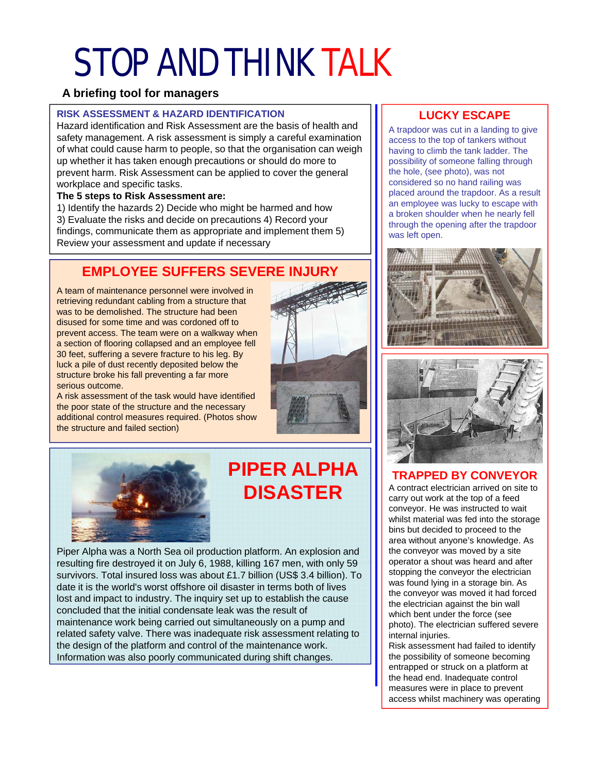# STOP AND THINK TALK

#### **A briefing tool for managers**

#### **RISK ASSESSMENT & HAZARD IDENTIFICATION**

Hazard identification and Risk Assessment are the basis of health and safety management. A risk assessment is simply a careful examination of what could cause harm to people, so that the organisation can weigh up whether it has taken enough precautions or should do more to prevent harm. Risk Assessment can be applied to cover the general workplace and specific tasks.

#### **The 5 steps to Risk Assessment are:**

1) Identify the hazards 2) Decide who might be harmed and how 1) Identify the hazards 2) Decide who might be harmed and 3) Evaluate the risks and decide on precautions 4) Record your findings, communicate them as appropriate and implement them 5) Review your assessment and update if necessary

## **EMPLOYEE SUFFERS SEVERE INJURY**

A team of maintenance personnel were involved in retrieving redundant cabling from a structure that was to be demolished. The structure had been disused for some time and was cordoned off to prevent access. The team were on a walkway when a section of flooring collapsed and an employee fell 30 feet, suffering a severe fracture to his leg. By luck a pile of dust recently deposited below the structure broke his fall preventing a far more serious outcome serious outcome.

A risk assessment of the task would have identified the poor state of the structure and the necessary additional control measures required. (Photos show the structure and failed section)





## **PIPER ALPHA PIPER DISASTER**

Piper Alpha was a North Sea oil production platform. An explosion and resulting fire destroyed it on July 6, 1988, killing 167 men, with only 59 | | | operator a shout was heard and after survivors. Total insured loss was about £1.7 billion (US\$ 3.4 billion). To date it is the world's worst offshore oil disaster in terms both of lives lost and impact to industry. The inquiry set up to establish the cause concluded that the initial condensate leak was the result of maintenance work being carried out simultaneously on a pump and related safety valve. There was inadequate risk assessment relating to the design of the platform and control of the maintenance work. **Fig. 1.** Risk assessment had failed to identify Information was also poorly communicated during shift changes. **The possibility of someone becoming** 

### **LUCKY ESCAPE**

A trapdoor was cut in a landing to give access to the top of tankers without having to climb the tank ladder. The possibility of someone falling through the hole, (see photo), was not considered so no hand railing was placed around the trapdoor. As a result an employee was lucky to escape with a broken shoulder when he nearly fell through the opening after the trapdoor was left open.





### **TRAPPED BY CONVEYOR TRAPPED BY CONVEYOR**

A contract electrician arrived on site to carry out work at the top of a feed conveyor. He was instructed to wait whilst material was fed into the storage bins but decided to proceed to the area without anyone's knowledge. As the conveyor was moved by a site operator a shout was heard and stopping the conveyor the electrician was found lying in a storage bin. As the conveyor was moved it had forced the electrician against the bin wall which bent under the force (see photo). The electrician suffered severe internal injuries.

entrapped or struck on a platform at the head end. Inadequate control measures were in place to prevent access whilst machinery was operating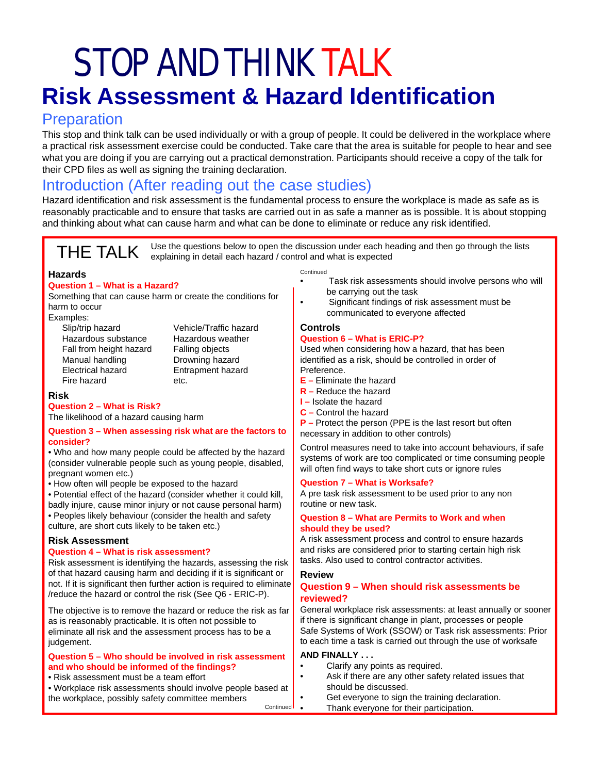## STOP AND THINK TALK **Risk Assessment & Hazard Identification**

## **Preparation**

This stop and think talk can be used individually or with a group of people. It could be delivered in the workplace where a practical risk assessment exercise could be conducted. Take care that the area is suitable for people to hear and see what you are doing if you are carrying out a practical demonstration. Participants should receive a copy of the talk for their CPD files as well as signing the training declaration.

## Introduction (After reading out the case studies)

Hazard identification and risk assessment is the fundamental process to ensure the workplace is made as safe as is reasonably practicable and to ensure that tasks are carried out in as safe a manner as is possible. It is about stopping and thinking about what can cause harm and what can be done to eliminate or reduce any risk identified.

THE TALK Use the questions below to open the discussion under each heading and then go through the lists explaining in detail each hazard / control and what is expected

#### **Hazards**

#### **Question 1 – What is a Hazard?**

Something that can cause harm or create the conditions for<br>harm to occur

- Examples:
	- Slip/trip hazard Vehicle/Traffic hazard Hazardous substance Hazardous weather Fall from height hazard Falling objects Manual handling Drowning hazard<br>Electrical hazard Entrapment hazar Fire hazard etc.

Entrapment hazard

#### **Risk**

**Question 2 – What is Risk?** The likelihood of a hazard causing harm

#### **Question 3 – When assessing risk what are the factors to consider?**

• Who and how many people could be affected by the hazard (consider vulnerable people such as young people, disabled, pregnant women etc.) will often find ways to take short cuts or ignore rules<br>• How often will people be exposed to the hazard<br>• How often will people be exposed to the hazard

• Potential effect of the hazard (consider whether it could kill, badly injure, cause minor injury or not cause personal harm) • Peoples likely behaviour (consider the health and safety culture, are short cuts likely to be taken etc.)

#### **Risk Assessment**

#### **Question 4 – What is risk assessment?**

Risk assessment is identifying the hazards, assessing the risk | tasks. Also used to control contractor activities. of that hazard causing harm and deciding if it is significant or not. If it is significant then further action is required to eliminate /reduce the hazard or control the risk (See Q6 - ERIC-P).

The objective is to remove the hazard or reduce the risk as far as is reasonably practicable. It is often not possible to eliminate all risk and the assessment process has to be a judgement.

#### **Question 5 – Who should be involved in risk assessment and who should be informed of the findings?**

• Risk assessment must be a team effort

• Workplace risk assessments should involve people based at the workplace, possibly safety committee members Continued

- Continued
- Task risk assessments should involve persons who will be carrying out the task
- Significant findings of risk assessment must be communicated to everyone affected

#### **Controls Question 6 – What is ERIC-P?**

Used when considering how a hazard, that has been identified as a risk, should be controlled in order of Preference.

- **E –** Eliminate the hazard
- **R –** Reduce the hazard
- **I –** Isolate the hazard
- **C –** Control the hazard
- **P –** Protect the person (PPE is the last resort but often necessary in addition to other controls)

Control measures need to take into account behaviours, if safe systems of work are too complicated or time consuming people

#### **Question 7 – What is Worksafe?**

A pre task risk assessment to be used prior to any non routine or new task.

#### **Question 8 – What are Permits to Work and when should they be used?**

A risk assessment process and control to ensure hazards and risks are considered prior to starting certain high risk tasks. Also used to control contractor

#### **Review**

#### **Question 9 – When should risk assessments be reviewed?**

General workplace risk assessments: at least annually or sooner if there is significant change in plant, processes or people Safe Systems of Work (SSOW) or Task risk assessments: Prior to each time a task is carried out through the use of worksafe

#### **AND FINALLY . . .**

- Clarify any points as required.
- Ask if there are any other safety related issues that should be discussed.
- Get everyone to sign the training declaration.
- Thank everyone for their participation.